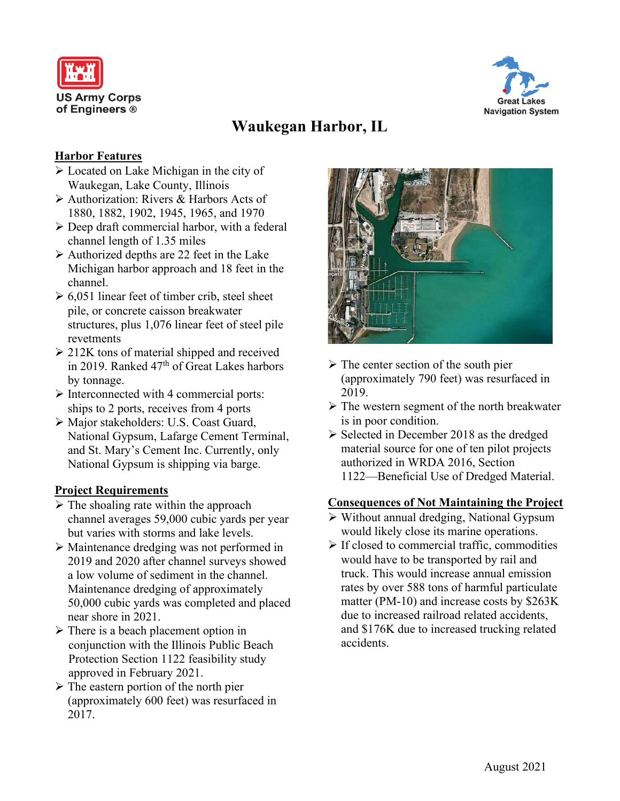



# **Waukegan Harbor, IL**

#### **Harbor Features**

- Located on Lake Michigan in the city of Waukegan, Lake County, Illinois
- Authorization: Rivers & Harbors Acts of 1880, 1882, 1902, 1945, 1965, and 1970
- $\triangleright$  Deep draft commercial harbor, with a federal channel length of 1.35 miles
- $\triangleright$  Authorized depths are 22 feet in the Lake Michigan harbor approach and 18 feet in the channel.
- $\geq 6.051$  linear feet of timber crib, steel sheet pile, or concrete caisson breakwater structures, plus 1,076 linear feet of steel pile revetments
- $\geq$  212K tons of material shipped and received in 2019. Ranked  $47<sup>th</sup>$  of Great Lakes harbors by tonnage.
- $\triangleright$  Interconnected with 4 commercial ports: ships to 2 ports, receives from 4 ports
- Major stakeholders: U.S. Coast Guard, National Gypsum, Lafarge Cement Terminal, and St. Mary's Cement Inc. Currently, only National Gypsum is shipping via barge.

#### **Project Requirements**

- $\triangleright$  The shoaling rate within the approach channel averages 59,000 cubic yards per year but varies with storms and lake levels.
- Maintenance dredging was not performed in 2019 and 2020 after channel surveys showed a low volume of sediment in the channel. Maintenance dredging of approximately 50,000 cubic yards was completed and placed near shore in 2021.
- $\triangleright$  There is a beach placement option in conjunction with the Illinois Public Beach Protection Section 1122 feasibility study approved in February 2021.
- $\triangleright$  The eastern portion of the north pier (approximately 600 feet) was resurfaced in 2017.



- $\triangleright$  The center section of the south pier (approximately 790 feet) was resurfaced in 2019.
- $\triangleright$  The western segment of the north breakwater is in poor condition.
- $\triangleright$  Selected in December 2018 as the dredged material source for one of ten pilot projects authorized in WRDA 2016, Section 1122⸺Beneficial Use of Dredged Material.

#### **Consequences of Not Maintaining the Project**

- $\triangleright$  Without annual dredging, National Gypsum would likely close its marine operations.
- $\triangleright$  If closed to commercial traffic, commodities would have to be transported by rail and truck. This would increase annual emission rates by over 588 tons of harmful particulate matter (PM-10) and increase costs by \$263K due to increased railroad related accidents, and \$176K due to increased trucking related accidents.